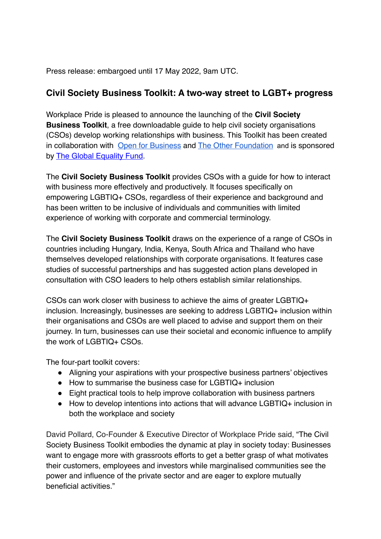Press release: embargoed until 17 May 2022, 9am UTC.

## **Civil Society Business Toolkit: A two-way street to LGBT+ progress**

Workplace Pride is pleased to announce the launching of the **Civil Society Business Toolkit**, a free downloadable guide to help civil society organisations (CSOs) develop working relationships with business. This Toolkit has been created in collaboration with [Open for Business](https://open-for-business.org/) and [The Other Foundation](https://theotherfoundation.org/) and is sponsored by [The Global Equality Fund](https://www.state.gov/global-equality-fund/).

The **Civil Society Business Toolkit** provides CSOs with a guide for how to interact with business more effectively and productively. It focuses specifically on empowering LGBTIQ+ CSOs, regardless of their experience and background and has been written to be inclusive of individuals and communities with limited experience of working with corporate and commercial terminology.

The **Civil Society Business Toolkit** draws on the experience of a range of CSOs in countries including Hungary, India, Kenya, South Africa and Thailand who have themselves developed relationships with corporate organisations. It features case studies of successful partnerships and has suggested action plans developed in consultation with CSO leaders to help others establish similar relationships.

CSOs can work closer with business to achieve the aims of greater LGBTIQ+ inclusion. Increasingly, businesses are seeking to address LGBTIQ+ inclusion within their organisations and CSOs are well placed to advise and support them on their journey. In turn, businesses can use their societal and economic influence to amplify the work of LGBTIQ+ CSOs.

The four-part toolkit covers:

- Aligning your aspirations with your prospective business partners' objectives
- How to summarise the business case for LGBTIQ+ inclusion
- Eight practical tools to help improve collaboration with business partners
- How to develop intentions into actions that will advance LGBTIQ+ inclusion in both the workplace and society

David Pollard, Co-Founder & Executive Director of Workplace Pride said, "The Civil Society Business Toolkit embodies the dynamic at play in society today: Businesses want to engage more with grassroots efforts to get a better grasp of what motivates their customers, employees and investors while marginalised communities see the power and influence of the private sector and are eager to explore mutually beneficial activities."